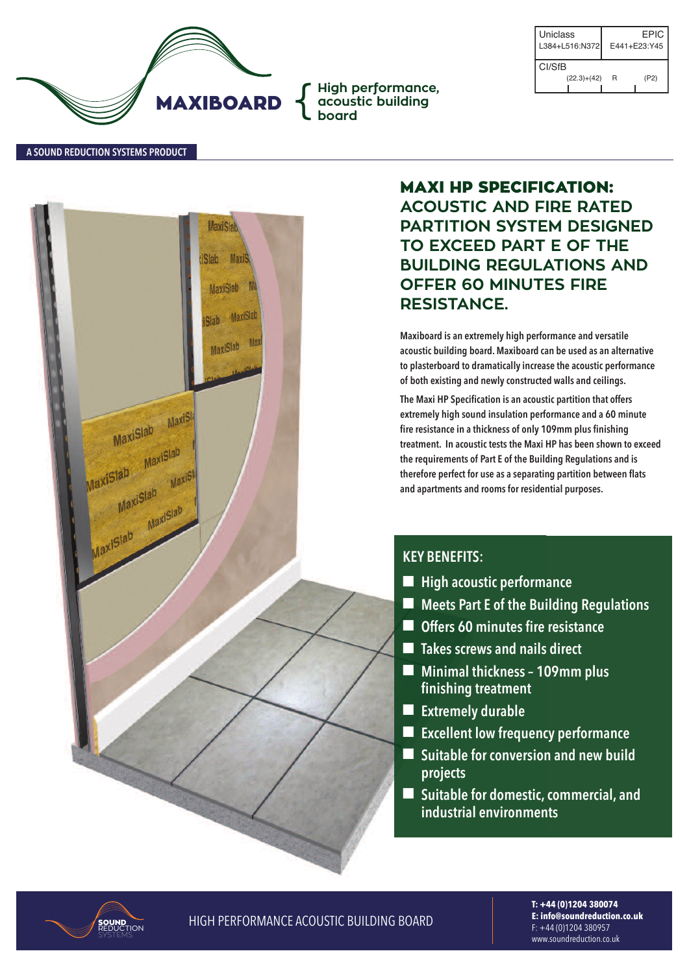

| Uniclass<br>L384+L516:N372 |               | EPIC.<br>E441+E23:Y45 |      |
|----------------------------|---------------|-----------------------|------|
| CI/SfB                     |               |                       |      |
|                            | $(22.3)+(42)$ | R                     | (P2) |

#### **A SOuNd REducTION SYSTEMS PROducT**



**MAXI HP SPECIFICATION: ACOUSTIC AND FIRE RATED PARTITION SYSTEM DESIGNED TO EXCEED PART E OF THE BUILDING REGULATIONS AND OFFER 60 MINUTES FIRE RESISTANCE.**

**Maxiboard is an extremely high performance and versatile acoustic building board. Maxiboard can be used as an alternative to plasterboard to dramatically increase the acoustic performance of both existing and newly constructed walls and ceilings.**

**The Maxi HP Specification is an acoustic partition that offers extremely high sound insulation performance and a 60 minute fire resistance in a thickness of only 109mm plus finishing treatment. In acoustic tests the Maxi HP has been shown to exceed the requirements of Part E of the Building Regulations and is therefore perfect for use as a separating partition between flats and apartments and rooms for residential purposes.**

### **KEY BENEFITS:**

- $\blacksquare$  High acoustic performance
- n **Meets Part E of the Building Regulations**
- n **Offers 60 minutes fire resistance**
- n **Takes screws and nails direct**
- n **Minimal thickness – 109mm plus finishing treatment**
- $\blacksquare$  Extremely durable
- n **Excellent low frequency performance**
- Suitable for conversion and new build **projects**
- Suitable for domestic, commercial, and **industrial environments**



**HIGH PERFORMANCE ACOUSTIC BUILDING BOARD** 

**T: +44 (0)1204 380074 E: info@soundreduction.co.uk** f: +44 (0)1204 380957 www.soundreduction.co.uk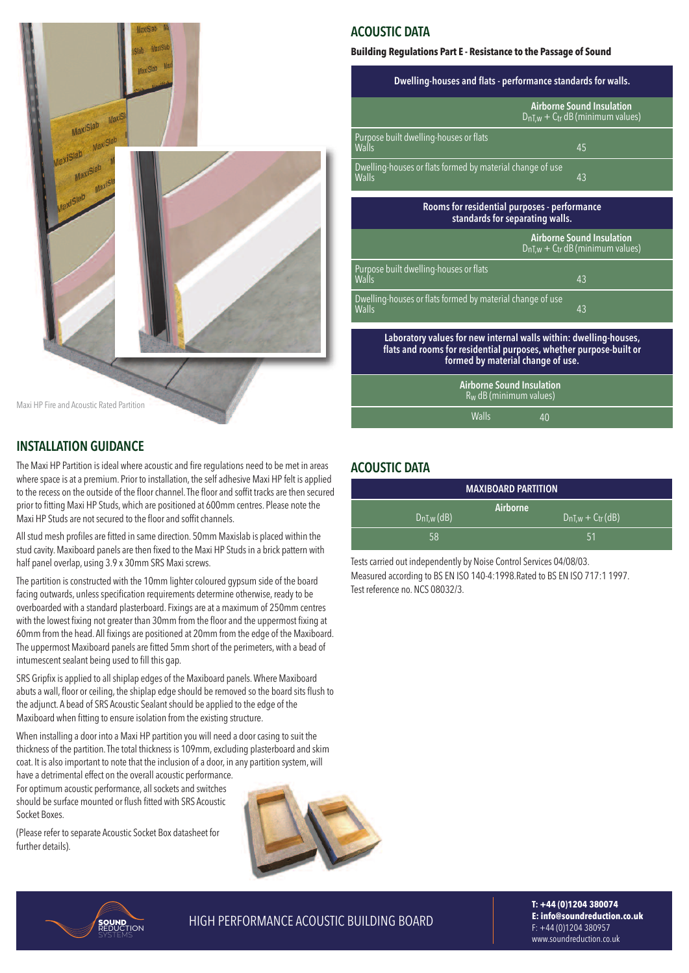

#### **INSTALLATION GuIdANcE**

The Maxi HP Partition is ideal where acoustic and fire regulations need to be met in areas where space is at a premium. Prior to installation, the self adhesive Maxi HP felt is applied to the recess on the outside of the floor channel. The floor and soffit tracks are then secured prior to fitting maxi Hp studs,which are positioned at 600mm centres. please note the Maxi HP Studs are not secured to the floor and soffit channels.

All stud mesh profiles are fitted in same direction. 50mm Maxislab is placed within the stud cavity. Maxiboard panels are then fixed to the Maxi HP Studs in a brick pattern with half panel overlap, using 3.9 x 30mm SRS Maxi screws.

The partition is constructed with the 10mm lighter coloured gypsum side of the board facing outwards, unless specification requirements determine otherwise, ready to be overboarded with a standard plasterboard. Fixings are at a maximum of 250mm centres with the lowest fixing not greater than 30mm from the floor and the uppermost fixing at 60mm from the head. all fixings are positioned at 20mm from the edge of the maxiboard. The uppermost Maxiboard panels are fitted 5mm short of the perimeters, with a bead of intumescent sealant being used to fill this gap.

SRS Gripfix is applied to all shiplap edges of the Maxiboard panels. Where Maxiboard abuts a wall, floor or ceiling, the shiplap edge should be removed so the board sits flush to the adjunct. A bead of SRS Acoustic Sealant should be applied to the edge of the maxiboard when fitting to ensure isolation from the existing structure.

When installing a door into a Maxi HP partition you will need a door casing to suit the thickness of the partition. The total thickness is 109mm, excluding plasterboard and skim coat. it is also important to note that the inclusion of a door, in any partition system,will

have a detrimental effect on the overall acoustic performance. for optimum acoustic performance, allsockets and switches should be surface mounted or flush fitted with srs acoustic socket boxes.

(Please refer to separate Acoustic Socket Box datasheet for further details).



## **AcOuSTIc dATA**

#### **Building Regulations Part E - Resistance to the Passage of Sound**

| Dwelling-houses and flats - performance standards for walls.                                                                                                                 |                                                                                      |  |  |
|------------------------------------------------------------------------------------------------------------------------------------------------------------------------------|--------------------------------------------------------------------------------------|--|--|
|                                                                                                                                                                              | <b>Airborne Sound Insulation</b><br>$D_{nT,w} + C_{tr} dB$ (minimum values)          |  |  |
| Purpose built dwelling-houses or flats<br>Walls                                                                                                                              | 45                                                                                   |  |  |
| Dwelling-houses or flats formed by material change of use<br>Walls                                                                                                           | 43                                                                                   |  |  |
| Rooms for residential purposes - performance<br>standards for separating walls.                                                                                              |                                                                                      |  |  |
|                                                                                                                                                                              | <b>Airborne Sound Insulation</b><br>$D_{nT,w}$ + C <sub>tr</sub> dB (minimum values) |  |  |
| Purpose built dwelling-houses or flats<br>Walls                                                                                                                              | 43                                                                                   |  |  |
| Dwelling-houses or flats formed by material change of use<br>Walls                                                                                                           | 43                                                                                   |  |  |
| Laboratory values for new internal walls within: dwelling-houses,<br>flats and rooms for residential purposes, whether purpose-built or<br>formed by material change of use. |                                                                                      |  |  |
| <b>Airborne Sound Insulation</b><br>$R_W$ dB (minimum values)                                                                                                                |                                                                                      |  |  |
| Walls<br>40                                                                                                                                                                  |                                                                                      |  |  |

#### **AcOuSTIc dATA**

| <b>MAXIBOARD PARTITION</b> |                                     |  |  |  |
|----------------------------|-------------------------------------|--|--|--|
| $D_{nI,w}$ (dB)            | Airborne<br>$D_{nT,w} + C_{tr}(dB)$ |  |  |  |
| 58                         | 151                                 |  |  |  |

Tests carried out independently by Noise Control Services 04/08/03. Measured according to BS EN ISO 140-4:1998. Rated to BS EN ISO 717:1 1997. Test reference no. NCS 08032/3.

SOUND<br>Reduction

**HIGH PERFORMANCE ACOUSTIC BUILDING BOARD** 

**T: +44 (0)1204 380074 E: info@soundreduction.co.uk** f: +44 (0)1204 380957 www.soundreduction.co.uk